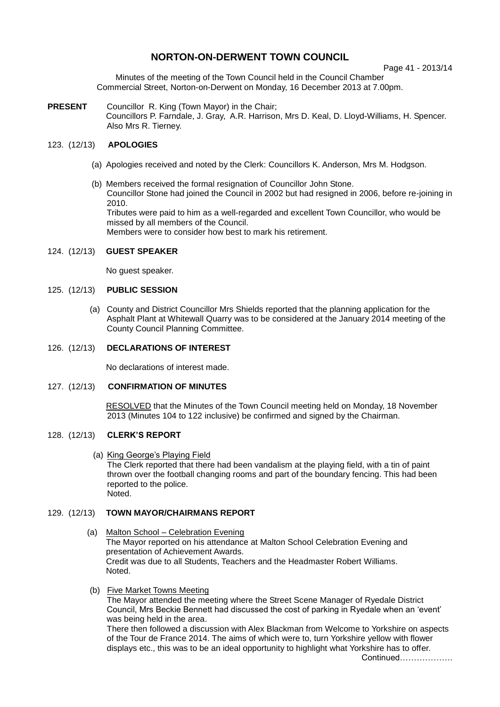# **NORTON-ON-DERWENT TOWN COUNCIL**

Page 41 - 2013/14

Minutes of the meeting of the Town Council held in the Council Chamber Commercial Street, Norton-on-Derwent on Monday, 16 December 2013 at 7.00pm.

**PRESENT** Councillor R. King (Town Mayor) in the Chair; Councillors P. Farndale, J. Gray, A.R. Harrison, Mrs D. Keal, D. Lloyd-Williams, H. Spencer. Also Mrs R. Tierney.

# 123. (12/13) **APOLOGIES**

- (a) Apologies received and noted by the Clerk: Councillors K. Anderson, Mrs M. Hodgson.
- (b) Members received the formal resignation of Councillor John Stone. Councillor Stone had joined the Council in 2002 but had resigned in 2006, before re-joining in 2010. Tributes were paid to him as a well-regarded and excellent Town Councillor, who would be missed by all members of the Council. Members were to consider how best to mark his retirement.

### 124. (12/13) **GUEST SPEAKER**

No guest speaker.

## 125. (12/13) **PUBLIC SESSION**

(a) County and District Councillor Mrs Shields reported that the planning application for the Asphalt Plant at Whitewall Quarry was to be considered at the January 2014 meeting of the County Council Planning Committee.

# 126. (12/13) **DECLARATIONS OF INTEREST**

No declarations of interest made.

### 127. (12/13) **CONFIRMATION OF MINUTES**

RESOLVED that the Minutes of the Town Council meeting held on Monday, 18 November 2013 (Minutes 104 to 122 inclusive) be confirmed and signed by the Chairman.

# 128. (12/13) **CLERK'S REPORT**

 (a) King George's Playing Field The Clerk reported that there had been vandalism at the playing field, with a tin of paint thrown over the football changing rooms and part of the boundary fencing. This had been reported to the police. Noted.

# 129. (12/13) **TOWN MAYOR/CHAIRMANS REPORT**

- (a) Malton School Celebration Evening The Mayor reported on his attendance at Malton School Celebration Evening and presentation of Achievement Awards. Credit was due to all Students, Teachers and the Headmaster Robert Williams. Noted.
- (b) Five Market Towns Meeting

The Mayor attended the meeting where the Street Scene Manager of Ryedale District Council, Mrs Beckie Bennett had discussed the cost of parking in Ryedale when an 'event' was being held in the area.

There then followed a discussion with Alex Blackman from Welcome to Yorkshire on aspects of the Tour de France 2014. The aims of which were to, turn Yorkshire yellow with flower displays etc., this was to be an ideal opportunity to highlight what Yorkshire has to offer.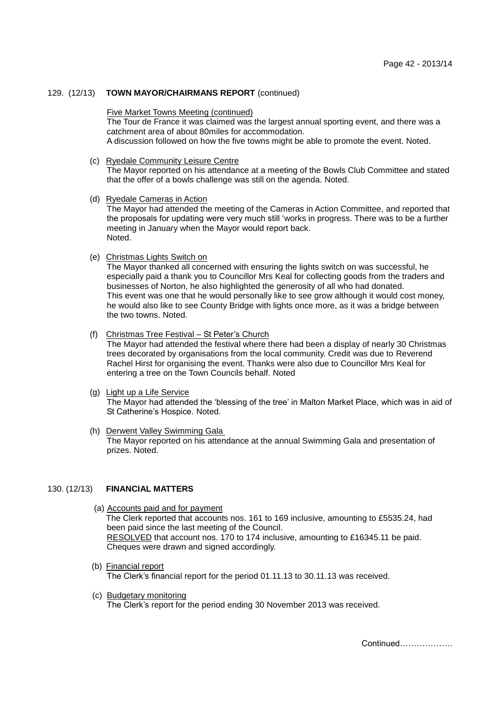## 129. (12/13) **TOWN MAYOR/CHAIRMANS REPORT** (continued)

#### Five Market Towns Meeting (continued)

The Tour de France it was claimed was the largest annual sporting event, and there was a catchment area of about 80miles for accommodation.

A discussion followed on how the five towns might be able to promote the event. Noted.

(c) Ryedale Community Leisure Centre

The Mayor reported on his attendance at a meeting of the Bowls Club Committee and stated that the offer of a bowls challenge was still on the agenda. Noted.

(d) Ryedale Cameras in Action

The Mayor had attended the meeting of the Cameras in Action Committee, and reported that the proposals for updating were very much still 'works in progress. There was to be a further meeting in January when the Mayor would report back. Noted.

(e) Christmas Lights Switch on

The Mayor thanked all concerned with ensuring the lights switch on was successful, he especially paid a thank you to Councillor Mrs Keal for collecting goods from the traders and businesses of Norton, he also highlighted the generosity of all who had donated. This event was one that he would personally like to see grow although it would cost money, he would also like to see County Bridge with lights once more, as it was a bridge between the two towns. Noted.

(f) Christmas Tree Festival – St Peter's Church

The Mayor had attended the festival where there had been a display of nearly 30 Christmas trees decorated by organisations from the local community. Credit was due to Reverend Rachel Hirst for organising the event. Thanks were also due to Councillor Mrs Keal for entering a tree on the Town Councils behalf. Noted

#### (g) Light up a Life Service The Mayor had attended the 'blessing of the tree' in Malton Market Place, which was in aid of St Catherine's Hospice. Noted.

#### (h) Derwent Valley Swimming Gala The Mayor reported on his attendance at the annual Swimming Gala and presentation of prizes. Noted.

### 130. (12/13) **FINANCIAL MATTERS**

- (a) Accounts paid and for payment The Clerk reported that accounts nos. 161 to 169 inclusive, amounting to £5535.24, had been paid since the last meeting of the Council. RESOLVED that account nos. 170 to 174 inclusive, amounting to £16345.11 be paid. Cheques were drawn and signed accordingly.
- (b) Financial report The Clerk's financial report for the period 01.11.13 to 30.11.13 was received.
- (c) Budgetary monitoring The Clerk's report for the period ending 30 November 2013 was received.

Continued……………….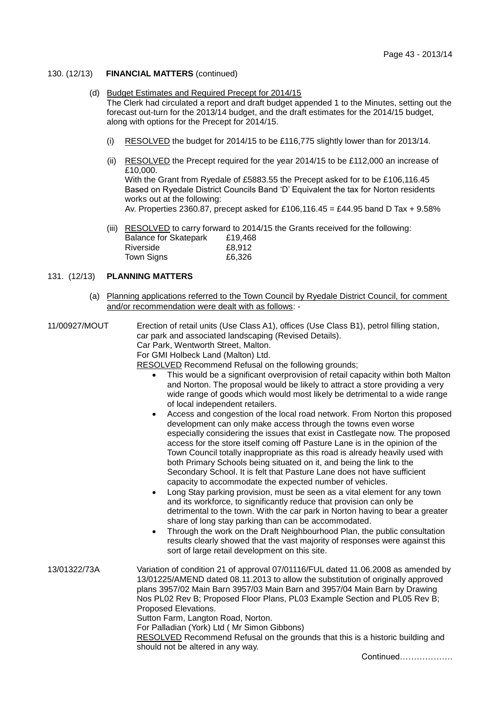# 130. (12/13) **FINANCIAL MATTERS** (continued)

## (d) Budget Estimates and Required Precept for 2014/15

 The Clerk had circulated a report and draft budget appended 1 to the Minutes, setting out the forecast out-turn for the 2013/14 budget, and the draft estimates for the 2014/15 budget, along with options for the Precept for 2014/15.

- (i) RESOLVED the budget for 2014/15 to be £116,775 slightly lower than for 2013/14.
- (ii) RESOLVED the Precept required for the year 2014/15 to be £112,000 an increase of £10,000.

With the Grant from Ryedale of £5883.55 the Precept asked for to be £106,116.45 Based on Ryedale District Councils Band 'D' Equivalent the tax for Norton residents works out at the following:

Av. Properties 2360.87, precept asked for £106,116.45 = £44.95 band D Tax + 9.58%

(iii) RESOLVED to carry forward to 2014/15 the Grants received for the following:

| <b>Balance for Skatepark</b> | £19,468 |
|------------------------------|---------|
| Riverside                    | £8,912  |
| Town Signs                   | £6,326  |

# 131. (12/13) **PLANNING MATTERS**

 (a) Planning applications referred to the Town Council by Ryedale District Council, for comment and/or recommendation were dealt with as follows: -

11/00927/MOUT Erection of retail units (Use Class A1), offices (Use Class B1), petrol filling station, car park and associated landscaping (Revised Details). Car Park, Wentworth Street, Malton. For GMI Holbeck Land (Malton) Ltd. RESOLVED Recommend Refusal on the following grounds;

- This would be a significant overprovision of retail capacity within both Malton and Norton. The proposal would be likely to attract a store providing a very wide range of goods which would most likely be detrimental to a wide range of local independent retailers.
- Access and congestion of the local road network. From Norton this proposed development can only make access through the towns even worse especially considering the issues that exist in Castlegate now. The proposed access for the store itself coming off Pasture Lane is in the opinion of the Town Council totally inappropriate as this road is already heavily used with both Primary Schools being situated on it, and being the link to the Secondary School. It is felt that Pasture Lane does not have sufficient capacity to accommodate the expected number of vehicles.
- Long Stay parking provision, must be seen as a vital element for any town and its workforce, to significantly reduce that provision can only be detrimental to the town. With the car park in Norton having to bear a greater share of long stay parking than can be accommodated.
- Through the work on the Draft Neighbourhood Plan, the public consultation results clearly showed that the vast majority of responses were against this sort of large retail development on this site.

13/01322/73A Variation of condition 21 of approval 07/01116/FUL dated 11.06.2008 as amended by 13/01225/AMEND dated 08.11.2013 to allow the substitution of originally approved plans 3957/02 Main Barn 3957/03 Main Barn and 3957/04 Main Barn by Drawing Nos PL02 Rev B; Proposed Floor Plans, PL03 Example Section and PL05 Rev B; Proposed Elevations. Sutton Farm, Langton Road, Norton. For Palladian (York) Ltd ( Mr Simon Gibbons) RESOLVED Recommend Refusal on the grounds that this is a historic building and should not be altered in any way.

Continued……………….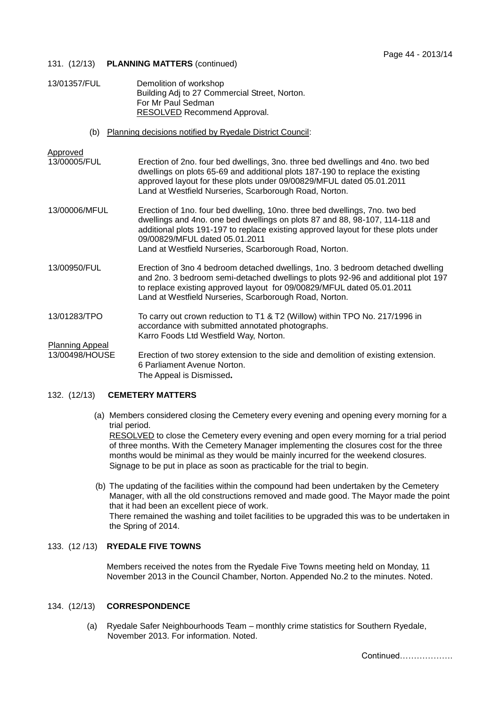## 131. (12/13) **PLANNING MATTERS** (continued)

| 13/01357/FUL | Demolition of workshop                        |
|--------------|-----------------------------------------------|
|              | Building Adj to 27 Commercial Street, Norton. |
|              | For Mr Paul Sedman                            |
|              | RESOLVED Recommend Approval.                  |

(b) Planning decisions notified by Ryedale District Council:

- Approved<br>13/00005/FUL Erection of 2no. four bed dwellings, 3no. three bed dwellings and 4no. two bed dwellings on plots 65-69 and additional plots 187-190 to replace the existing approved layout for these plots under 09/00829/MFUL dated 05.01.2011 Land at Westfield Nurseries, Scarborough Road, Norton.
- 13/00006/MFUL Erection of 1no. four bed dwelling, 10no. three bed dwellings, 7no. two bed dwellings and 4no. one bed dwellings on plots 87 and 88, 98-107, 114-118 and additional plots 191-197 to replace existing approved layout for these plots under 09/00829/MFUL dated 05.01.2011 Land at Westfield Nurseries, Scarborough Road, Norton.
- 13/00950/FUL Erection of 3no 4 bedroom detached dwellings, 1no. 3 bedroom detached dwelling and 2no. 3 bedroom semi-detached dwellings to plots 92-96 and additional plot 197 to replace existing approved layout for 09/00829/MFUL dated 05.01.2011 Land at Westfield Nurseries, Scarborough Road, Norton.
- 13/01283/TPO To carry out crown reduction to T1 & T2 (Willow) within TPO No. 217/1996 in accordance with submitted annotated photographs. Karro Foods Ltd Westfield Way, Norton. Planning Appeal
- 13/00498/HOUSE Erection of two storey extension to the side and demolition of existing extension. 6 Parliament Avenue Norton. The Appeal is Dismissed**.**

# 132. (12/13) **CEMETERY MATTERS**

(a) Members considered closing the Cemetery every evening and opening every morning for a trial period.

RESOLVED to close the Cemetery every evening and open every morning for a trial period of three months. With the Cemetery Manager implementing the closures cost for the three months would be minimal as they would be mainly incurred for the weekend closures. Signage to be put in place as soon as practicable for the trial to begin.

 (b) The updating of the facilities within the compound had been undertaken by the Cemetery Manager, with all the old constructions removed and made good. The Mayor made the point that it had been an excellent piece of work. There remained the washing and toilet facilities to be upgraded this was to be undertaken in the Spring of 2014.

# 133. (12 /13) **RYEDALE FIVE TOWNS**

Members received the notes from the Ryedale Five Towns meeting held on Monday, 11 November 2013 in the Council Chamber, Norton. Appended No.2 to the minutes. Noted.

## 134. (12/13) **CORRESPONDENCE**

 (a) Ryedale Safer Neighbourhoods Team – monthly crime statistics for Southern Ryedale, November 2013. For information. Noted.

Continued……………….